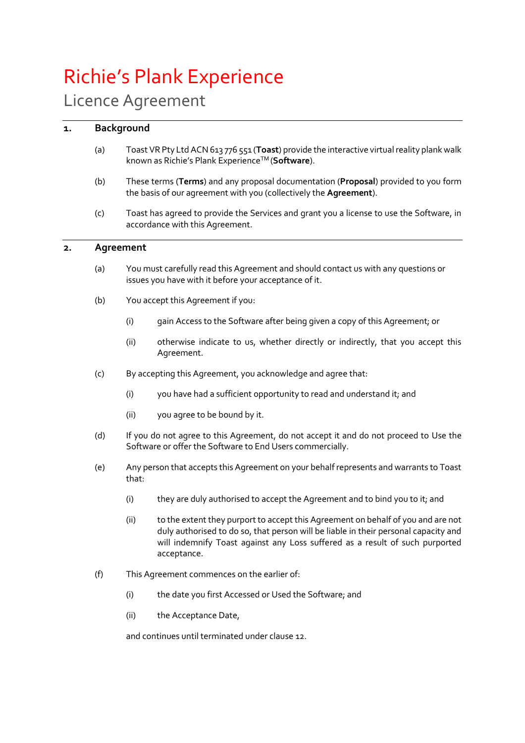# Richie's Plank Experience

# Licence Agreement

# **1. Background**

- (a) Toast VR Pty Ltd ACN 613 776 551 (**Toast**) provide the interactive virtual reality plank walk known as Richie's Plank ExperienceTM (**Software**).
- (b) These terms (**Terms**) and any proposal documentation (**Proposal**) provided to you form the basis of our agreement with you (collectively the **Agreement**).
- (c) Toast has agreed to provide the Services and grant you a license to use the Software, in accordance with this Agreement.

# **2. Agreement**

- (a) You must carefully read this Agreement and should contact us with any questions or issues you have with it before your acceptance of it.
- (b) You accept this Agreement if you:
	- (i) gain Access to the Software after being given a copy of this Agreement; or
	- (ii) otherwise indicate to us, whether directly or indirectly, that you accept this Agreement.
- (c) By accepting this Agreement, you acknowledge and agree that:
	- (i) you have had a sufficient opportunity to read and understand it; and
	- (ii) you agree to be bound by it.
- (d) If you do not agree to this Agreement, do not accept it and do not proceed to Use the Software or offer the Software to End Users commercially.
- (e) Any person that accepts this Agreement on your behalf represents and warrants to Toast that:
	- (i) they are duly authorised to accept the Agreement and to bind you to it; and
	- (ii) to the extent they purport to accept this Agreement on behalf of you and are not duly authorised to do so, that person will be liable in their personal capacity and will indemnify Toast against any Loss suffered as a result of such purported acceptance.
- (f) This Agreement commences on the earlier of:
	- (i) the date you first Accessed or Used the Software; and
	- (ii) the Acceptance Date,

and continues until terminated under claus[e 12.](#page-6-0)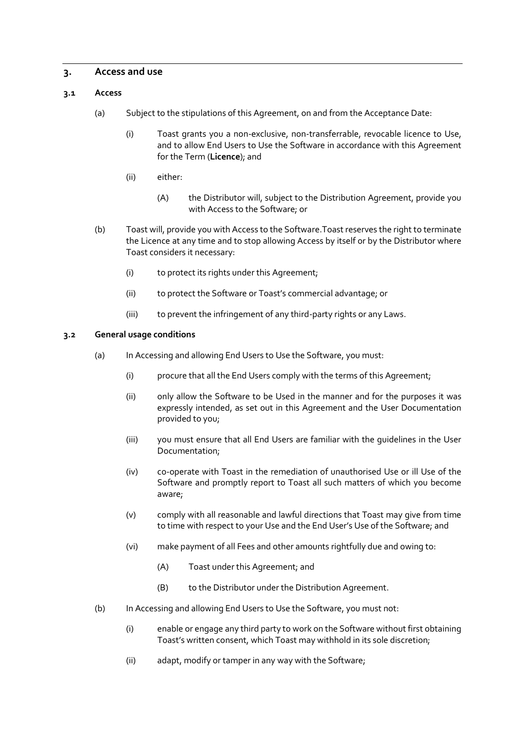#### **3. Access and use**

#### **3.1 Access**

- (a) Subject to the stipulations of this Agreement, on and from the Acceptance Date:
	- (i) Toast grants you a non-exclusive, non-transferrable, revocable licence to Use, and to allow End Users to Use the Software in accordance with this Agreement for the Term (**Licence**); and
	- (ii) either:
		- (A) the Distributor will, subject to the Distribution Agreement, provide you with Access to the Software; or
- (b) Toast will, provide you with Access to the Software.Toast reserves the right to terminate the Licence at any time and to stop allowing Access by itself or by the Distributor where Toast considers it necessary:
	- (i) to protect its rights under this Agreement;
	- (ii) to protect the Software or Toast's commercial advantage; or
	- (iii) to prevent the infringement of any third-party rights or any Laws.

#### <span id="page-1-0"></span>**3.2 General usage conditions**

- (a) In Accessing and allowing End Users to Use the Software, you must:
	- (i) procure that all the End Users comply with the terms of this Agreement;
	- (ii) only allow the Software to be Used in the manner and for the purposes it was expressly intended, as set out in this Agreement and the User Documentation provided to you;
	- (iii) you must ensure that all End Users are familiar with the guidelines in the User Documentation;
	- (iv) co-operate with Toast in the remediation of unauthorised Use or ill Use of the Software and promptly report to Toast all such matters of which you become aware;
	- (v) comply with all reasonable and lawful directions that Toast may give from time to time with respect to your Use and the End User's Use of the Software; and
	- (vi) make payment of all Fees and other amounts rightfully due and owing to:
		- (A) Toast under this Agreement; and
		- (B) to the Distributor under the Distribution Agreement.
- (b) In Accessing and allowing End Users to Use the Software, you must not:
	- (i) enable or engage any third party to work on the Software without first obtaining Toast's written consent, which Toast may withhold in its sole discretion;
	- (ii) adapt, modify or tamper in any way with the Software;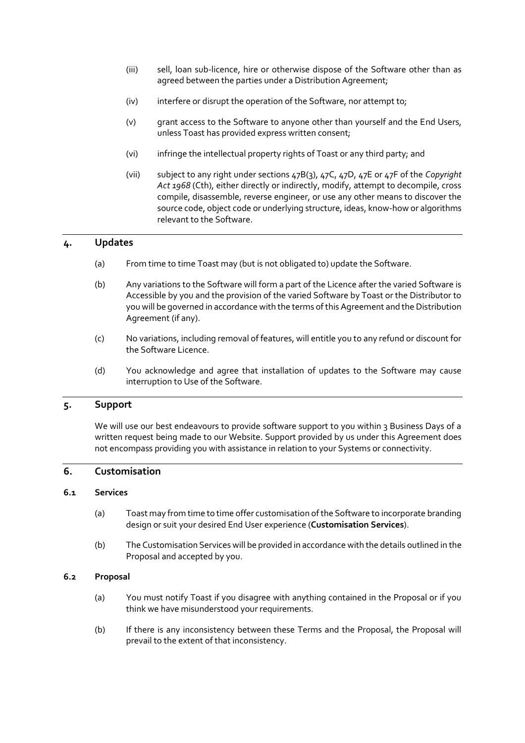- (iii) sell, loan sub-licence, hire or otherwise dispose of the Software other than as agreed between the parties under a Distribution Agreement;
- (iv) interfere or disrupt the operation of the Software, nor attempt to;
- (v) grant access to the Software to anyone other than yourself and the End Users, unless Toast has provided express written consent;
- (vi) infringe the intellectual property rights of Toast or any third party; and
- (vii) subject to any right under sections 47B(3), 47C, 47D, 47E or 47F of the *Copyright Act 1968* (Cth), either directly or indirectly, modify, attempt to decompile, cross compile, disassemble, reverse engineer, or use any other means to discover the source code, object code or underlying structure, ideas, know-how or algorithms relevant to the Software.

# **4. Updates**

- (a) From time to time Toast may (but is not obligated to) update the Software.
- (b) Any variations to the Software will form a part of the Licence after the varied Software is Accessible by you and the provision of the varied Software by Toast or the Distributor to you will be governed in accordance with the terms of this Agreement and the Distribution Agreement (if any).
- (c) No variations, including removal of features, will entitle you to any refund or discount for the Software Licence.
- (d) You acknowledge and agree that installation of updates to the Software may cause interruption to Use of the Software.

#### **5. Support**

We will use our best endeavours to provide software support to you within 3 Business Days of a written request being made to our Website. Support provided by us under this Agreement does not encompass providing you with assistance in relation to your Systems or connectivity.

# **6. Customisation**

#### **6.1 Services**

- (a) Toast may from time to time offer customisation of the Software to incorporate branding design or suit your desired End User experience (**Customisation Services**).
- (b) The Customisation Services will be provided in accordance with the details outlined in the Proposal and accepted by you.

#### **6.2 Proposal**

- (a) You must notify Toast if you disagree with anything contained in the Proposal or if you think we have misunderstood your requirements.
- (b) If there is any inconsistency between these Terms and the Proposal, the Proposal will prevail to the extent of that inconsistency.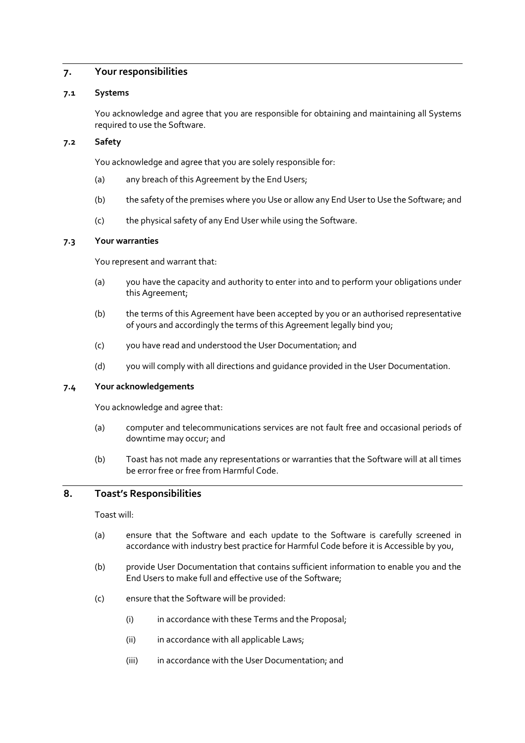# <span id="page-3-0"></span>**7. Your responsibilities**

#### **7.1 Systems**

You acknowledge and agree that you are responsible for obtaining and maintaining all Systems required to use the Software.

#### **7.2 Safety**

You acknowledge and agree that you are solely responsible for:

- (a) any breach of this Agreement by the End Users;
- (b) the safety of the premises where you Use or allow any End User to Use the Software; and
- (c) the physical safety of any End User while using the Software.

#### **7.3 Your warranties**

You represent and warrant that:

- (a) you have the capacity and authority to enter into and to perform your obligations under this Agreement;
- (b) the terms of this Agreement have been accepted by you or an authorised representative of yours and accordingly the terms of this Agreement legally bind you;
- (c) you have read and understood the User Documentation; and
- (d) you will comply with all directions and guidance provided in the User Documentation.

#### **7.4 Your acknowledgements**

You acknowledge and agree that:

- (a) computer and telecommunications services are not fault free and occasional periods of downtime may occur; and
- (b) Toast has not made any representations or warranties that the Software will at all times be error free or free from Harmful Code.

#### <span id="page-3-1"></span>**8. Toast's Responsibilities**

Toast will:

- (a) ensure that the Software and each update to the Software is carefully screened in accordance with industry best practice for Harmful Code before it is Accessible by you,
- (b) provide User Documentation that contains sufficient information to enable you and the End Users to make full and effective use of the Software;
- (c) ensure that the Software will be provided:
	- (i) in accordance with these Terms and the Proposal;
	- (ii) in accordance with all applicable Laws;
	- (iii) in accordance with the User Documentation; and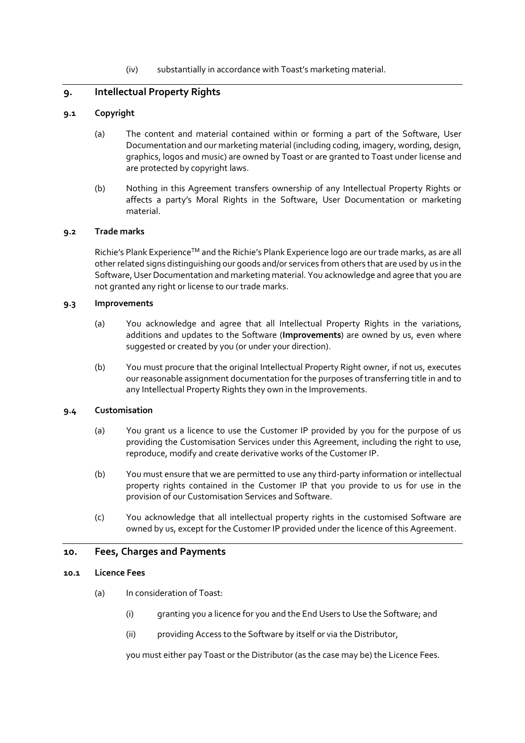#### (iv) substantially in accordance with Toast's marketing material.

# <span id="page-4-0"></span>**9. Intellectual Property Rights**

#### **9.1 Copyright**

- (a) The content and material contained within or forming a part of the Software, User Documentation and our marketing material (including coding, imagery, wording, design, graphics, logos and music) are owned by Toast or are granted to Toast under license and are protected by copyright laws.
- (b) Nothing in this Agreement transfers ownership of any Intellectual Property Rights or affects a party's Moral Rights in the Software, User Documentation or marketing material.

#### **9.2 Trade marks**

Richie's Plank Experience<sup>TM</sup> and the Richie's Plank Experience logo are our trade marks, as are all other related signs distinguishing our goods and/or services from others that are used by us in the Software, User Documentation and marketing material. You acknowledge and agree that you are not granted any right or license to our trade marks.

#### **9.3 Improvements**

- (a) You acknowledge and agree that all Intellectual Property Rights in the variations, additions and updates to the Software (**Improvements**) are owned by us, even where suggested or created by you (or under your direction).
- (b) You must procure that the original Intellectual Property Right owner, if not us, executes our reasonable assignment documentation for the purposes of transferring title in and to any Intellectual Property Rights they own in the Improvements.

#### **9.4 Customisation**

- (a) You grant us a licence to use the Customer IP provided by you for the purpose of us providing the Customisation Services under this Agreement, including the right to use, reproduce, modify and create derivative works of the Customer IP.
- (b) You must ensure that we are permitted to use any third-party information or intellectual property rights contained in the Customer IP that you provide to us for use in the provision of our Customisation Services and Software.
- (c) You acknowledge that all intellectual property rights in the customised Software are owned by us, except for the Customer IP provided under the licence of this Agreement.

#### <span id="page-4-1"></span>**10. Fees, Charges and Payments**

#### **10.1 Licence Fees**

- (a) In consideration of Toast:
	- (i) granting you a licence for you and the End Users to Use the Software; and
	- (ii) providing Access to the Software by itself or via the Distributor,

you must either pay Toast or the Distributor (as the case may be) the Licence Fees.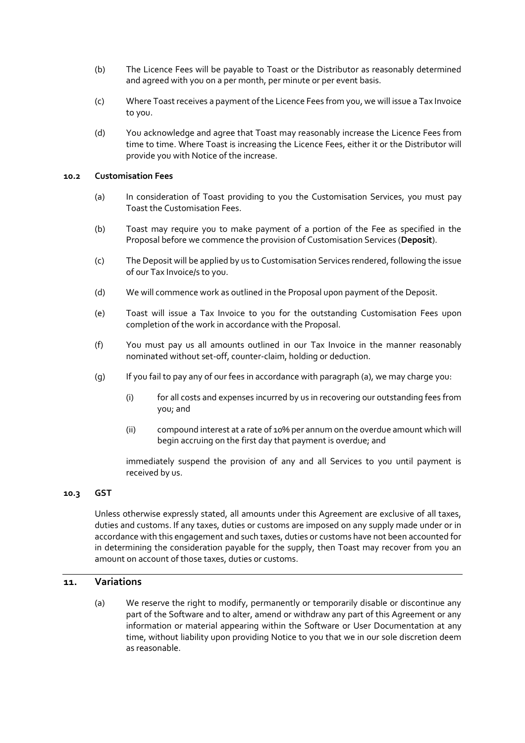- (b) The Licence Fees will be payable to Toast or the Distributor as reasonably determined and agreed with you on a per month, per minute or per event basis.
- (c) Where Toast receives a payment of the Licence Fees from you, we will issue a Tax Invoice to you.
- <span id="page-5-2"></span>(d) You acknowledge and agree that Toast may reasonably increase the Licence Fees from time to time. Where Toast is increasing the Licence Fees, either it or the Distributor will provide you with Notice of the increase.

#### <span id="page-5-0"></span>**10.2 Customisation Fees**

- (a) In consideration of Toast providing to you the Customisation Services, you must pay Toast the Customisation Fees.
- (b) Toast may require you to make payment of a portion of the Fee as specified in the Proposal before we commence the provision of Customisation Services (**Deposit**).
- (c) The Deposit will be applied by us to Customisation Services rendered, following the issue of our Tax Invoice/s to you.
- (d) We will commence work as outlined in the Proposal upon payment of the Deposit.
- (e) Toast will issue a Tax Invoice to you for the outstanding Customisation Fees upon completion of the work in accordance with the Proposal.
- (f) You must pay us all amounts outlined in our Tax Invoice in the manner reasonably nominated without set-off, counter-claim, holding or deduction.
- (g) If you fail to pay any of our fees in accordance with paragraph [\(a\),](#page-5-0) we may charge you:
	- (i) for all costs and expenses incurred by us in recovering our outstanding fees from you; and
	- (ii) compound interest at a rate of 10% per annum on the overdue amount which will begin accruing on the first day that payment is overdue; and

immediately suspend the provision of any and all Services to you until payment is received by us.

#### **10.3 GST**

Unless otherwise expressly stated, all amounts under this Agreement are exclusive of all taxes, duties and customs. If any taxes, duties or customs are imposed on any supply made under or in accordance with this engagement and such taxes, duties or customs have not been accounted for in determining the consideration payable for the supply, then Toast may recover from you an amount on account of those taxes, duties or customs.

#### <span id="page-5-1"></span>**11. Variations**

(a) We reserve the right to modify, permanently or temporarily disable or discontinue any part of the Software and to alter, amend or withdraw any part of this Agreement or any information or material appearing within the Software or User Documentation at any time, without liability upon providing Notice to you that we in our sole discretion deem as reasonable.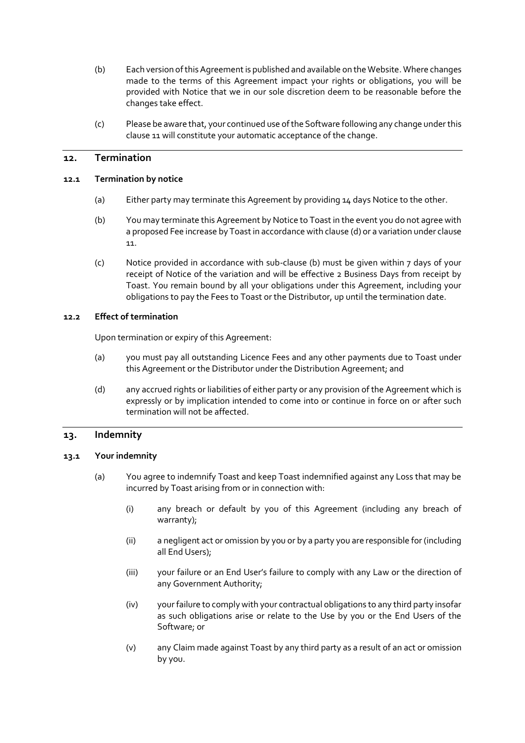- (b) Each version of this Agreement is published and available on the Website. Where changes made to the terms of this Agreement impact your rights or obligations, you will be provided with Notice that we in our sole discretion deem to be reasonable before the changes take effect.
- (c) Please be aware that, your continued use of the Software following any change under this claus[e 11](#page-5-1) will constitute your automatic acceptance of the change.

#### <span id="page-6-0"></span>**12. Termination**

#### **12.1 Termination by notice**

- (a) Either party may terminate this Agreement by providing 14 days Notice to the other.
- (b) You may terminate this Agreement by Notice to Toast in the event you do not agree with a proposed Fee increase by Toast in accordance with claus[e \(d\)](#page-5-2) or a variation under clause [11.](#page-5-1)
- (c) Notice provided in accordance with sub-clause (b) must be given within 7 days of your receipt of Notice of the variation and will be effective 2 Business Days from receipt by Toast. You remain bound by all your obligations under this Agreement, including your obligations to pay the Fees to Toast or the Distributor, up until the termination date.

#### **12.2 Effect of termination**

Upon termination or expiry of this Agreement:

- (a) you must pay all outstanding Licence Fees and any other payments due to Toast under this Agreement or the Distributor under the Distribution Agreement; and
- (d) any accrued rights or liabilities of either party or any provision of the Agreement which is expressly or by implication intended to come into or continue in force on or after such termination will not be affected.

#### <span id="page-6-2"></span>**13. Indemnity**

#### <span id="page-6-1"></span>**13.1 Your indemnity**

- (a) You agree to indemnify Toast and keep Toast indemnified against any Loss that may be incurred by Toast arising from or in connection with:
	- (i) any breach or default by you of this Agreement (including any breach of warranty);
	- (ii) a negligent act or omission by you or by a party you are responsible for (including all End Users);
	- (iii) your failure or an End User's failure to comply with any Law or the direction of any Government Authority;
	- (iv) your failure to comply with your contractual obligations to any third party insofar as such obligations arise or relate to the Use by you or the End Users of the Software; or
	- (v) any Claim made against Toast by any third party as a result of an act or omission by you.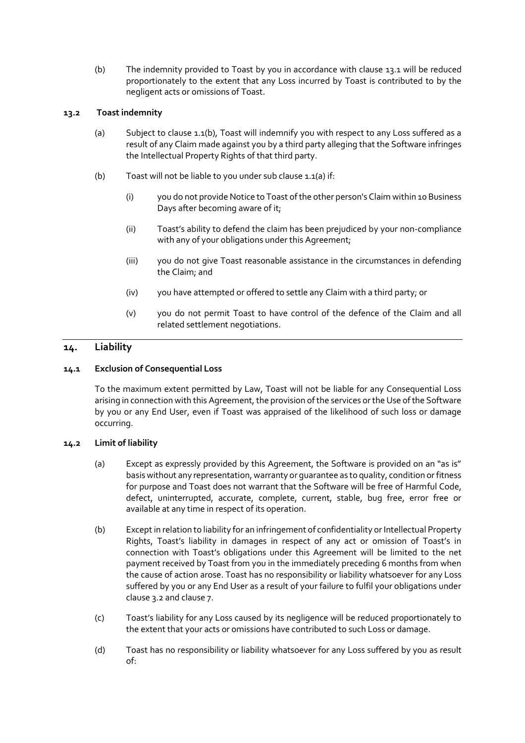(b) The indemnity provided to Toast by you in accordance with clause [13.1](#page-6-1) will be reduced proportionately to the extent that any Loss incurred by Toast is contributed to by the negligent acts or omissions of Toast.

# <span id="page-7-1"></span>**13.2 Toast indemnity**

- (a) Subject to clause [1.1\(b\),](#page-7-0) Toast will indemnify you with respect to any Loss suffered as a result of any Claim made against you by a third party alleging that the Software infringes the Intellectual Property Rights of that third party.
- <span id="page-7-0"></span>(b) Toast will not be liable to you under sub claus[e 1.1\(a\)](#page-7-1) if:
	- (i) you do not provide Notice to Toast of the other person's Claim within 10 Business Days after becoming aware of it;
	- (ii) Toast's ability to defend the claim has been prejudiced by your non-compliance with any of your obligations under this Agreement;
	- (iii) you do not give Toast reasonable assistance in the circumstances in defending the Claim; and
	- (iv) you have attempted or offered to settle any Claim with a third party; or
	- (v) you do not permit Toast to have control of the defence of the Claim and all related settlement negotiations.

# <span id="page-7-2"></span>**14. Liability**

# **14.1 Exclusion of Consequential Loss**

To the maximum extent permitted by Law, Toast will not be liable for any Consequential Loss arising in connection with this Agreement, the provision of the services or the Use of the Software by you or any End User, even if Toast was appraised of the likelihood of such loss or damage occurring.

#### **14.2 Limit of liability**

- (a) Except as expressly provided by this Agreement, the Software is provided on an "as is" basis without any representation, warranty or guarantee as to quality, condition or fitness for purpose and Toast does not warrant that the Software will be free of Harmful Code, defect, uninterrupted, accurate, complete, current, stable, bug free, error free or available at any time in respect of its operation.
- (b) Except in relation to liability for an infringement of confidentiality or Intellectual Property Rights, Toast's liability in damages in respect of any act or omission of Toast's in connection with Toast's obligations under this Agreement will be limited to the net payment received by Toast from you in the immediately preceding 6 months from when the cause of action arose. Toast has no responsibility or liability whatsoever for any Loss suffered by you or any End User as a result of your failure to fulfil your obligations under claus[e 3.2](#page-1-0) and claus[e 7.](#page-3-0)
- (c) Toast's liability for any Loss caused by its negligence will be reduced proportionately to the extent that your acts or omissions have contributed to such Loss or damage.
- (d) Toast has no responsibility or liability whatsoever for any Loss suffered by you as result of: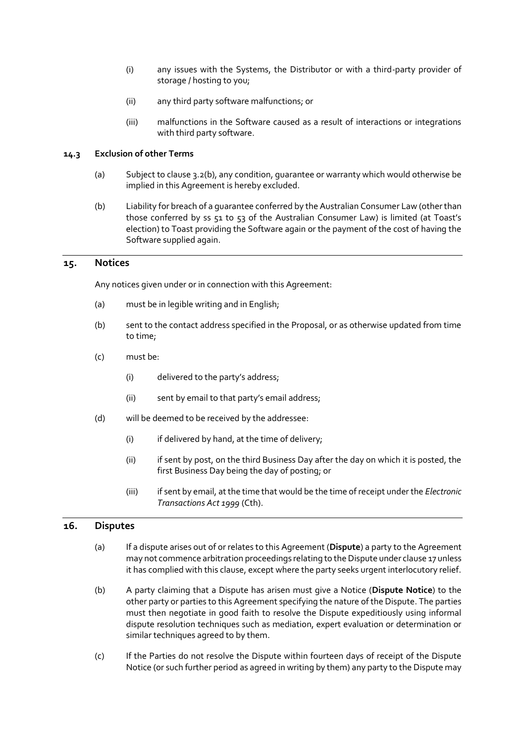- (i) any issues with the Systems, the Distributor or with a third-party provider of storage / hosting to you;
- (ii) any third party software malfunctions; or
- (iii) malfunctions in the Software caused as a result of interactions or integrations with third party software.

#### **14.3 Exclusion of other Terms**

- (a) Subject to claus[e 3.2\(b\),](#page-8-0) any condition, guarantee or warranty which would otherwise be implied in this Agreement is hereby excluded.
- <span id="page-8-0"></span>(b) Liability for breach of a guarantee conferred by the Australian Consumer Law (other than those conferred by ss 51 to 53 of the Australian Consumer Law) is limited (at Toast's election) to Toast providing the Software again or the payment of the cost of having the Software supplied again.

#### **15. Notices**

Any notices given under or in connection with this Agreement:

- (a) must be in legible writing and in English;
- (b) sent to the contact address specified in the Proposal, or as otherwise updated from time to time;
- (c) must be:
	- (i) delivered to the party's address;
	- (ii) sent by email to that party's email address;
- (d) will be deemed to be received by the addressee:
	- (i) if delivered by hand, at the time of delivery;
	- (ii) if sent by post, on the third Business Day after the day on which it is posted, the first Business Day being the day of posting; or
	- (iii) if sent by email, at the time that would be the time of receipt under the *Electronic Transactions Act 1999* (Cth).

#### <span id="page-8-1"></span>**16. Disputes**

- (a) If a dispute arises out of or relates to this Agreement (**Dispute**) a party to the Agreement may not commence arbitration proceedings relating to the Dispute under clause 17 unless it has complied with this clause, except where the party seeks urgent interlocutory relief.
- (b) A party claiming that a Dispute has arisen must give a Notice (**Dispute Notice**) to the other party or parties to this Agreement specifying the nature of the Dispute. The parties must then negotiate in good faith to resolve the Dispute expeditiously using informal dispute resolution techniques such as mediation, expert evaluation or determination or similar techniques agreed to by them.
- (c) If the Parties do not resolve the Dispute within fourteen days of receipt of the Dispute Notice (or such further period as agreed in writing by them) any party to the Dispute may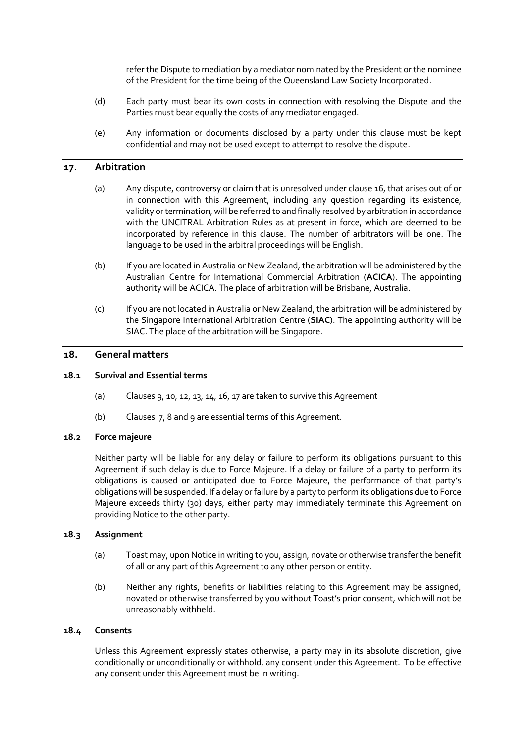refer the Dispute to mediation by a mediator nominated by the President or the nominee of the President for the time being of the Queensland Law Society Incorporated.

- (d) Each party must bear its own costs in connection with resolving the Dispute and the Parties must bear equally the costs of any mediator engaged.
- (e) Any information or documents disclosed by a party under this clause must be kept confidential and may not be used except to attempt to resolve the dispute.

# <span id="page-9-0"></span>**17. Arbitration**

- (a) Any dispute, controversy or claim that is unresolved under clause 16, that arises out of or in connection with this Agreement, including any question regarding its existence, validity or termination, will be referred to and finally resolved by arbitration in accordance with the UNCITRAL Arbitration Rules as at present in force, which are deemed to be incorporated by reference in this clause. The number of arbitrators will be one. The language to be used in the arbitral proceedings will be English.
- (b) If you are located in Australia or New Zealand, the arbitration will be administered by the Australian Centre for International Commercial Arbitration (**ACICA**). The appointing authority will be ACICA. The place of arbitration will be Brisbane, Australia.
- (c) If you are not located in Australia or New Zealand, the arbitration will be administered by the Singapore International Arbitration Centre (**SIAC**). The appointing authority will be SIAC. The place of the arbitration will be Singapore.

#### **18. General matters**

#### **18.1 Survival and Essential terms**

- (a) Clauses [9,](#page-4-0) [10,](#page-4-1) [12,](#page-6-0) [13,](#page-6-2) [14,](#page-7-2) [16,](#page-8-1) [17](#page-9-0) are taken to survive this Agreement
- (b) Clauses [7,](#page-3-0) [8](#page-3-1) an[d 9](#page-4-0) are essential terms of this Agreement.

#### **18.2 Force majeure**

Neither party will be liable for any delay or failure to perform its obligations pursuant to this Agreement if such delay is due to Force Majeure. If a delay or failure of a party to perform its obligations is caused or anticipated due to Force Majeure, the performance of that party's obligations will be suspended. If a delay or failure by a party to perform its obligations due to Force Majeure exceeds thirty (30) days, either party may immediately terminate this Agreement on providing Notice to the other party.

#### **18.3 Assignment**

- (a) Toast may, upon Notice in writing to you, assign, novate or otherwise transfer the benefit of all or any part of this Agreement to any other person or entity.
- (b) Neither any rights, benefits or liabilities relating to this Agreement may be assigned, novated or otherwise transferred by you without Toast's prior consent, which will not be unreasonably withheld.

#### **18.4 Consents**

Unless this Agreement expressly states otherwise, a party may in its absolute discretion, give conditionally or unconditionally or withhold, any consent under this Agreement. To be effective any consent under this Agreement must be in writing.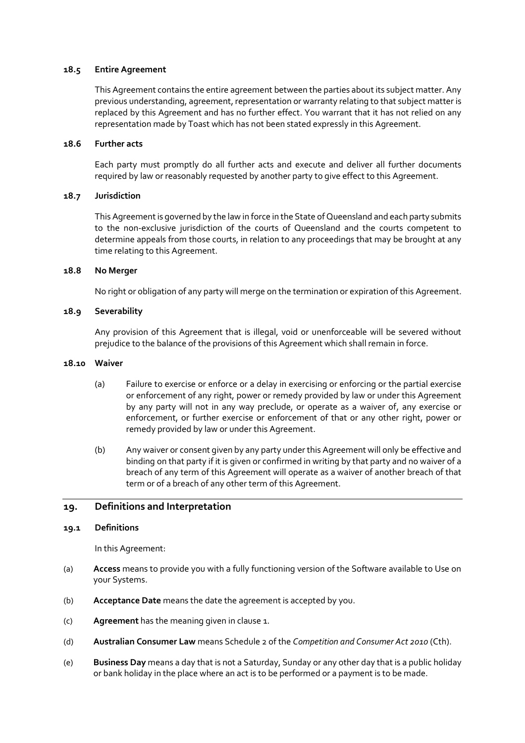#### **18.5 Entire Agreement**

This Agreement contains the entire agreement between the parties about its subject matter. Any previous understanding, agreement, representation or warranty relating to that subject matter is replaced by this Agreement and has no further effect. You warrant that it has not relied on any representation made by Toast which has not been stated expressly in this Agreement.

#### **18.6 Further acts**

Each party must promptly do all further acts and execute and deliver all further documents required by law or reasonably requested by another party to give effect to this Agreement.

#### **18.7 Jurisdiction**

This Agreement is governed by the law in force in the State of Queensland and each party submits to the non-exclusive jurisdiction of the courts of Queensland and the courts competent to determine appeals from those courts, in relation to any proceedings that may be brought at any time relating to this Agreement.

#### **18.8 No Merger**

No right or obligation of any party will merge on the termination or expiration of this Agreement.

#### **18.9 Severability**

Any provision of this Agreement that is illegal, void or unenforceable will be severed without prejudice to the balance of the provisions of this Agreement which shall remain in force.

#### **18.10 Waiver**

- (a) Failure to exercise or enforce or a delay in exercising or enforcing or the partial exercise or enforcement of any right, power or remedy provided by law or under this Agreement by any party will not in any way preclude, or operate as a waiver of, any exercise or enforcement, or further exercise or enforcement of that or any other right, power or remedy provided by law or under this Agreement.
- (b) Any waiver or consent given by any party under this Agreement will only be effective and binding on that party if it is given or confirmed in writing by that party and no waiver of a breach of any term of this Agreement will operate as a waiver of another breach of that term or of a breach of any other term of this Agreement.

# **19. Definitions and Interpretation**

#### **19.1 Definitions**

In this Agreement:

- (a) **Access** means to provide you with a fully functioning version of the Software available to Use on your Systems.
- (b) **Acceptance Date** means the date the agreement is accepted by you.
- (c) **Agreement** has the meaning given in clause 1.
- (d) **Australian Consumer Law** means Schedule 2 of the *Competition and Consumer Act 2010* (Cth).
- (e) **Business Day** means a day that is not a Saturday, Sunday or any other day that is a public holiday or bank holiday in the place where an act is to be performed or a payment is to be made.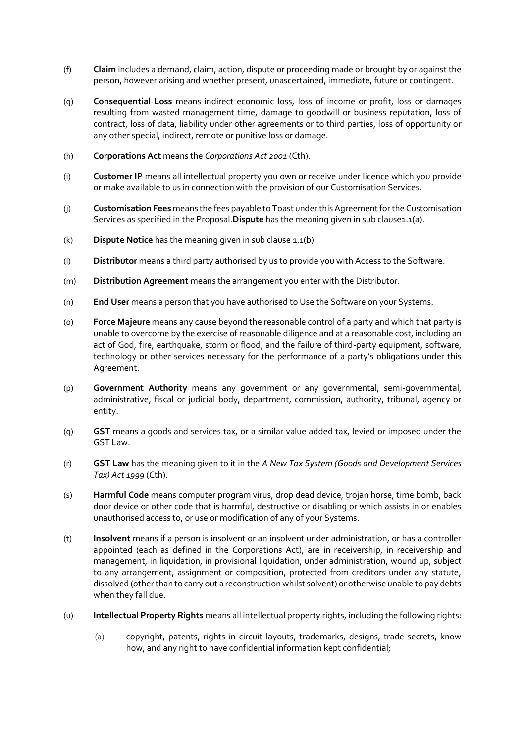- (f) **Claim** includes a demand, claim, action, dispute or proceeding made or brought by or against the person, however arising and whether present, unascertained, immediate, future or contingent.
- (g) **Consequential Loss** means indirect economic loss, loss of income or profit, loss or damages resulting from wasted management time, damage to goodwill or business reputation, loss of contract, loss of data, liability under other agreements or to third parties, loss of opportunity or any other special, indirect, remote or punitive loss or damage.
- (h) **Corporations Act** means the *Corporations Act 2001* (Cth).
- (i) **Customer IP** means all intellectual property you own or receive under licence which you provide or make available to us in connection with the provision of our Customisation Services.
- (j) **Customisation Fees** means the fees payable to Toast under this Agreement for the Customisation Services as specified in the Proposal. Dispute has the meaning given in sub clause1.1(a).
- (k) **Dispute Notice** has the meaning given in sub clause 1.1(b).
- (l) **Distributor** means a third party authorised by us to provide you with Access to the Software.
- (m) **Distribution Agreement** means the arrangement you enter with the Distributor.
- (n) **End User** means a person that you have authorised to Use the Software on your Systems.
- (o) **Force Majeure** means any cause beyond the reasonable control of a party and which that party is unable to overcome by the exercise of reasonable diligence and at a reasonable cost, including an act of God, fire, earthquake, storm or flood, and the failure of third-party equipment, software, technology or other services necessary for the performance of a party's obligations under this Agreement.
- (p) **Government Authority** means any government or any governmental, semi-governmental, administrative, fiscal or judicial body, department, commission, authority, tribunal, agency or entity.
- (q) **GST** means a goods and services tax, or a similar value added tax, levied or imposed under the GST Law.
- (r) **GST Law** has the meaning given to it in the *A New Tax System (Goods and Development Services Tax) Act 1999* (Cth).
- (s) **Harmful Code** means computer program virus, drop dead device, trojan horse, time bomb, back door device or other code that is harmful, destructive or disabling or which assists in or enables unauthorised access to, or use or modification of any of your Systems.
- (t) **Insolvent** means if a person is insolvent or an insolvent under administration, or has a controller appointed (each as defined in the Corporations Act), are in receivership, in receivership and management, in liquidation, in provisional liquidation, under administration, wound up, subject to any arrangement, assignment or composition, protected from creditors under any statute, dissolved (other than to carry out a reconstruction whilst solvent) or otherwise unable to pay debts when they fall due.
- (u) **Intellectual Property Rights** means all intellectual property rights, including the following rights:
	- (a) copyright, patents, rights in circuit layouts, trademarks, designs, trade secrets, know how, and any right to have confidential information kept confidential;